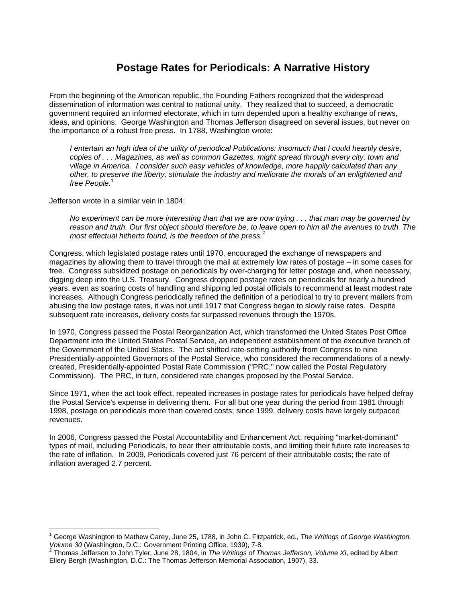# **Postage Rates for Periodicals: A Narrative History**

From the beginning of the American republic, the Founding Fathers recognized that the widespread dissemination of information was central to national unity. They realized that to succeed, a democratic government required an informed electorate, which in turn depended upon a healthy exchange of news, ideas, and opinions. George Washington and Thomas Jefferson disagreed on several issues, but never on the importance of a robust free press. In 1788, Washington wrote:

*I entertain an high idea of the utility of periodical Publications: insomuch that I could heartily desire, copies of . . . Magazines, as well as common Gazettes, might spread through every city, town and village in America. I consider such easy vehicles of knowledge, more happily calculated than any other, to preserve the liberty, stimulate the industry and meliorate the morals of an enlightened and*  free People.<sup>1</sup>

Jefferson wrote in a similar vein in 1804:

 $\overline{\phantom{a}}$ 

*No experiment can be more interesting than that we are now trying . . . that man may be governed by reason and truth. Our first object should therefore be, to leave open to him all the avenues to truth. The most effectual hitherto found, is the freedom of the press.*<sup>2</sup>

Congress, which legislated postage rates until 1970, encouraged the exchange of newspapers and magazines by allowing them to travel through the mail at extremely low rates of postage – in some cases for free. Congress subsidized postage on periodicals by over-charging for letter postage and, when necessary, digging deep into the U.S. Treasury. Congress dropped postage rates on periodicals for nearly a hundred years, even as soaring costs of handling and shipping led postal officials to recommend at least modest rate increases. Although Congress periodically refined the definition of a periodical to try to prevent mailers from abusing the low postage rates, it was not until 1917 that Congress began to slowly raise rates. Despite subsequent rate increases, delivery costs far surpassed revenues through the 1970s.

In 1970, Congress passed the Postal Reorganization Act, which transformed the United States Post Office Department into the United States Postal Service, an independent establishment of the executive branch of the Government of the United States. The act shifted rate-setting authority from Congress to nine Presidentially-appointed Governors of the Postal Service, who considered the recommendations of a newlycreated, Presidentially-appointed Postal Rate Commission ("PRC," now called the Postal Regulatory Commission). The PRC, in turn, considered rate changes proposed by the Postal Service.

Since 1971, when the act took effect, repeated increases in postage rates for periodicals have helped defray the Postal Service's expense in delivering them. For all but one year during the period from 1981 through 1998, postage on periodicals more than covered costs; since 1999, delivery costs have largely outpaced revenues.

In 2006, Congress passed the Postal Accountability and Enhancement Act, requiring "market-dominant" types of mail, including Periodicals, to bear their attributable costs, and limiting their future rate increases to the rate of inflation. In 2009, Periodicals covered just 76 percent of their attributable costs; the rate of inflation averaged 2.7 percent.

<sup>1</sup> George Washington to Mathew Carey, June 25, 1788, in John C. Fitzpatrick, ed., *The Writings of George Washington,* 

*Volume 30* (Washington, D.C.: Government Printing Office, 1939), 7-8. <sup>2</sup> Thomas Jefferson to John Tyler, June 28, 1804, in *The Writings of Thomas Jefferson, Volume XI*, edited by Albert Ellery Bergh (Washington, D.C.: The Thomas Jefferson Memorial Association, 1907), 33.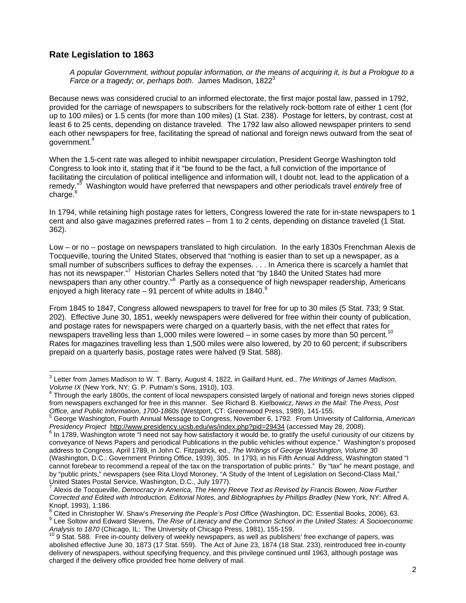### **Rate Legislation to 1863**

*A popular Government, without popular information, or the means of acquiring it, is but a Prologue to a Farce or a tragedy; or, perhaps both.* James Madison, 1822<sup>3</sup>

Because news was considered crucial to an informed electorate, the first major postal law, passed in 1792, provided for the carriage of newspapers to subscribers for the relatively rock-bottom rate of either 1 cent (for up to 100 miles) or 1.5 cents (for more than 100 miles) (1 Stat. 238). Postage for letters, by contrast, cost at least 6 to 25 cents, depending on distance traveled. The 1792 law also allowed newspaper printers to send each other newspapers for free, facilitating the spread of national and foreign news outward from the seat of government.<sup>4</sup>

When the 1.5-cent rate was alleged to inhibit newspaper circulation, President George Washington told Congress to look into it, stating that if it "be found to be the fact, a full conviction of the importance of facilitating the circulation of political intelligence and information will, I doubt not, lead to the application of a remedy."<sup>5</sup> Washington would have preferred that newspapers and other periodicals travel *entirely* free of  $charge.<sup>6</sup>$ 

In 1794, while retaining high postage rates for letters, Congress lowered the rate for in-state newspapers to 1 cent and also gave magazines preferred rates – from 1 to 2 cents, depending on distance traveled (1 Stat. 362).

Low – or no – postage on newspapers translated to high circulation. In the early 1830s Frenchman Alexis de Tocqueville, touring the United States, observed that "nothing is easier than to set up a newspaper, as a small number of subscribers suffices to defray the expenses. . . . In America there is scarcely a hamlet that has not its newspaper."<sup>7</sup> Historian Charles Sellers noted that "by 1840 the United States had more newspapers than any other country."<sup>8</sup> Partly as a consequence of high newspaper readership, Americans enjoyed a high literacy rate  $-91$  percent of white adults in 1840.<sup>9</sup>

From 1845 to 1847, Congress allowed newspapers to travel for free for up to 30 miles (5 Stat. 733; 9 Stat. 202). Effective June 30, 1851, weekly newspapers were delivered for free within their county of publication, and postage rates for newspapers were charged on a quarterly basis, with the net effect that rates for newspapers travelling less than 1,000 miles were lowered – in some cases by more than 50 percent.<sup>1</sup> Rates for magazines travelling less than 1,500 miles were also lowered, by 20 to 60 percent; if subscribers prepaid on a quarterly basis, postage rates were halved (9 Stat. 588).

 3 Letter from James Madison to W. T. Barry, August 4, 1822, in Gaillard Hunt, ed., *The Writings of James Madison, Volume IX* (New York, NY: G. P. Putnam's Sons, 1910), 103. 4

Through the early 1800s, the content of local newspapers consisted largely of national and foreign news stories clipped from newspapers exchanged for free in this manner. See Richard B. Kielbowicz, *News in the Mail: The Press, Post*  Office, and Public Information, 1700-1860s (Westport, CT: Greenwood Press, 1989), 141-155.

George Washington, Fourth Annual Message to Congress, November 6, 1792. From University of California, *American Presidency Project* http://www.presidency.ucsb.edu/ws/index.php?pid=29434 (accessed May 28, 2008).

In 1789, Washington wrote "I need not say how satisfactory it would be, to gratify the useful curiousity of our citizens by conveyance of News Papers and periodical Publications in the public vehicles without expence." Washington's proposed address to Congress, April 1789, in John C. Fitzpatrick, ed., *The Writings of George Washington, Volume 30* (Washington, D.C.: Government Printing Office, 1939), 305. In 1793, in his Fifth Annual Address, Washington stated "I cannot forebear to recommend a repeal of the tax on the transportation of public prints." By "tax" he meant postage, and by "public prints," newspapers (see Rita Lloyd Moroney, "A Study of the Intent of Legislation on Second-Class Mail,"

United States Postal Service, Washington, D.C., July 1977). 7 Alexis de Tocqueville, *Democracy in America, The Henry Reeve Text as Revised by Francis Bowen, Now Further Corrected and Edited with Introduction, Editorial Notes, and Bibliographies by Phillips Bradley* (New York, NY: Alfred A. Knopf, 1993), 1:186.<br><sup>8</sup> Citad in Christanhol

Cited in Christopher W. Shaw's *Preserving the People's Post Office* (Washington, DC: Essential Books, 2006), 63. 9

<sup>&</sup>lt;sup>9</sup> Lee Soltow and Edward Stevens, *The Rise of Literacy and the Common School in the United States: A Socioeconomic* Analysis to 1870 (Chicago, IL: The University of Chicago Press, 1981), 155-159.<br><sup>10</sup> 9 Stat. 588. Free in-county delivery of weekly newspapers, as well as publishers' free exchange of papers, was

abolished effective June 30, 1873 (17 Stat. 559). The Act of June 23, 1874 (18 Stat. 233), reintroduced free in-county delivery of newspapers, without specifying frequency, and this privilege continued until 1963, although postage was charged if the delivery office provided free home delivery of mail.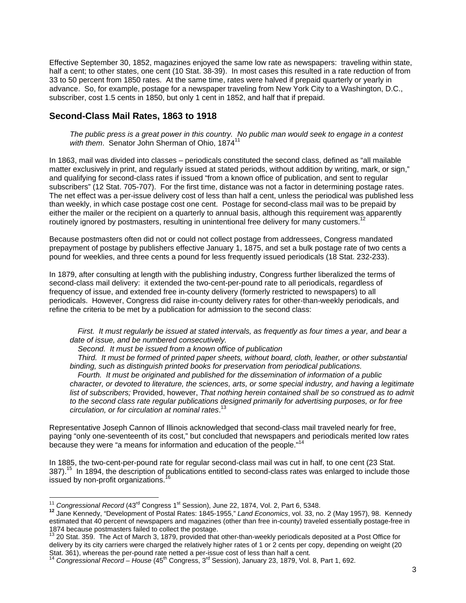Effective September 30, 1852, magazines enjoyed the same low rate as newspapers: traveling within state, half a cent; to other states, one cent (10 Stat. 38-39). In most cases this resulted in a rate reduction of from 33 to 50 percent from 1850 rates. At the same time, rates were halved if prepaid quarterly or yearly in advance. So, for example, postage for a newspaper traveling from New York City to a Washington, D.C., subscriber, cost 1.5 cents in 1850, but only 1 cent in 1852, and half that if prepaid.

#### **Second-Class Mail Rates, 1863 to 1918**

*The public press is a great power in this country. No public man would seek to engage in a contest*  with them. Senator John Sherman of Ohio, 1874<sup>11</sup>

In 1863, mail was divided into classes – periodicals constituted the second class, defined as "all mailable matter exclusively in print, and regularly issued at stated periods, without addition by writing, mark, or sign," and qualifying for second-class rates if issued "from a known office of publication, and sent to regular subscribers" (12 Stat. 705-707). For the first time, distance was not a factor in determining postage rates. The net effect was a per-issue delivery cost of less than half a cent, unless the periodical was published less than weekly, in which case postage cost one cent. Postage for second-class mail was to be prepaid by either the mailer or the recipient on a quarterly to annual basis, although this requirement was apparently routinely ignored by postmasters, resulting in unintentional free delivery for many customers.

Because postmasters often did not or could not collect postage from addressees, Congress mandated prepayment of postage by publishers effective January 1, 1875, and set a bulk postage rate of two cents a pound for weeklies, and three cents a pound for less frequently issued periodicals (18 Stat. 232-233).

In 1879, after consulting at length with the publishing industry, Congress further liberalized the terms of second-class mail delivery: it extended the two-cent-per-pound rate to all periodicals, regardless of frequency of issue, and extended free in-county delivery (formerly restricted to newspapers) to all periodicals. However, Congress did raise in-county delivery rates for other-than-weekly periodicals, and refine the criteria to be met by a publication for admission to the second class:

*First. It must regularly be issued at stated intervals, as frequently as four times a year, and bear a date of issue, and be numbered consecutively.* 

*Second. It must be issued from a known office of publication* 

*Third. It must be formed of printed paper sheets, without board, cloth, leather, or other substantial binding, such as distinguish printed books for preservation from periodical publications.* 

*Fourth. It must be originated and published for the dissemination of information of a public character, or devoted to literature, the sciences, arts, or some special industry, and having a legitimate list of subscribers;* Provided, however, *That nothing herein contained shall be so construed as to admit to the second class rate regular publications designed primarily for advertising purposes, or for free circulation, or for circulation at nominal rates*. 13

Representative Joseph Cannon of Illinois acknowledged that second-class mail traveled nearly for free, paying "only one-seventeenth of its cost," but concluded that newspapers and periodicals merited low rates because they were "a means for information and education of the people."14

In 1885, the two-cent-per-pound rate for regular second-class mail was cut in half, to one cent (23 Stat. 387).<sup>15</sup> In 1894, the description of publications entitled to second-class rates was enlarged to include those issued by non-profit organizations.<sup>1</sup>

<sup>&</sup>lt;sup>11</sup> Congressional Record (43<sup>rd</sup> Congress 1<sup>st</sup> Session), June 22, 1874, Vol. 2, Part 6, 5348.

<sup>11</sup> *Congressional Record* (43rd Congress 1st Session), June 22, 1874, Vol. 2, Part 6, 5348. **<sup>12</sup>** Jane Kennedy, "Development of Postal Rates: 1845-1955," *Land Economics*, vol. 33, no. 2 (May 1957), 98. Kennedy estimated that 40 percent of newspapers and magazines (other than free in-county) traveled essentially postage-free in 1874 because postmasters failed to collect the postage.

<sup>&</sup>lt;sup>13</sup> 20 Stat. 359. The Act of March 3, 1879, provided that other-than-weekly periodicals deposited at a Post Office for delivery by its city carriers were charged the relatively higher rates of 1 or 2 cents per copy, depending on weight (20 Stat. 361), whereas the per-pound rate netted a per-issue cost of less than half a cent.

<sup>14</sup> *Congressional Record – House* (45th Congress, 3rd Session), January 23, 1879, Vol. 8, Part 1, 692.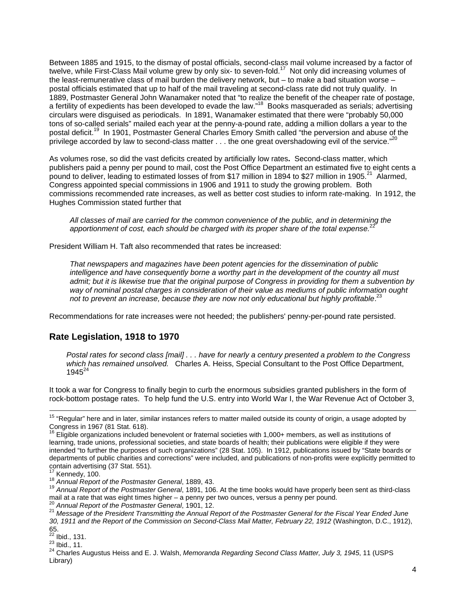Between 1885 and 1915, to the dismay of postal officials, second-class mail volume increased by a factor of twelve, while First-Class Mail volume grew by only six- to seven-fold.<sup>17</sup> Not only did increasing volumes of the least-remunerative class of mail burden the delivery network, but – to make a bad situation worse – postal officials estimated that up to half of the mail traveling at second-class rate did not truly qualify. In 1889, Postmaster General John Wanamaker noted that "to realize the benefit of the cheaper rate of postage, a fertility of expedients has been developed to evade the law."<sup>18</sup> Books masqueraded as serials; advertising circulars were disguised as periodicals. In 1891, Wanamaker estimated that there were "probably 50,000 tons of so-called serials" mailed each year at the penny-a-pound rate, adding a million dollars a year to the postal deficit.<sup>19</sup> In 1901, Postmaster General Charles Emory Smith called "the perversion and abuse of the privilege accorded by law to second-class matter . . . the one great overshadowing evil of the service."<sup>2</sup>

As volumes rose, so did the vast deficits created by artificially low rates**.** Second-class matter, which publishers paid a penny per pound to mail, cost the Post Office Department an estimated five to eight cents a pound to deliver, leading to estimated losses of from \$17 million in 1894 to \$27 million in 1905.<sup>21</sup> Alarmed, Congress appointed special commissions in 1906 and 1911 to study the growing problem. Both commissions recommended rate increases, as well as better cost studies to inform rate-making. In 1912, the Hughes Commission stated further that

*All classes of mail are carried for the common convenience of the public, and in determining the apportionment of cost, each should be charged with its proper share of the total expense.*<sup>22</sup>

President William H. Taft also recommended that rates be increased:

*That newspapers and magazines have been potent agencies for the dissemination of public*  intelligence and have consequently borne a worthy part in the development of the country all must *admit; but it is likewise true that the original purpose of Congress in providing for them a subvention by way of nominal postal charges in consideration of their value as mediums of public information ought*  not to prevent an increase, because they are now not only educational but highly profitable.<sup>23</sup>

Recommendations for rate increases were not heeded; the publishers' penny-per-pound rate persisted.

#### **Rate Legislation, 1918 to 1970**

*Postal rates for second class [mail] . . . have for nearly a century presented a problem to the Congress which has remained unsolved.* Charles A. Heiss, Special Consultant to the Post Office Department,  $1945^{24}$ 

It took a war for Congress to finally begin to curb the enormous subsidies granted publishers in the form of rock-bottom postage rates. To help fund the U.S. entry into World War I, the War Revenue Act of October 3,

<sup>&</sup>lt;sup>15</sup> "Regular" here and in later, similar instances refers to matter mailed outside its county of origin, a usage adopted by Congress in 1967 (81 Stat. 618).

<sup>16</sup> Eligible organizations included benevolent or fraternal societies with 1,000+ members, as well as institutions of learning, trade unions, professional societies, and state boards of health; their publications were eligible if they were intended "to further the purposes of such organizations" (28 Stat. 105). In 1912, publications issued by "State boards or departments of public charities and corrections" were included, and publications of non-profits were explicitly permitted to contain advertising (37 Stat. 551).

<sup>&</sup>lt;sup>17</sup> Kennedy, 100.<br><sup>18</sup> Annual Report of the Postmaster General, 1889, 43.<br><sup>19</sup> Annual Report of the Postmaster General, 1891, 106. At the time books would have properly been sent as third-class<br>mail at a rate that was eig

<sup>&</sup>lt;sup>20</sup> Annual Report of the Postmaster General, 1901, 12.<br><sup>21</sup> Message of the President Transmitting the Annual Report of the Postmaster General for the Fiscal Year Ended June *30, 1911 and the Report of the Commission on Second-Class Mail Matter, February 22, 1912* (Washington, D.C., 1912), 65.<br><sup>22</sup> Ibid., 131.

<sup>23</sup> Ibid., 131.<br><sup>23</sup> Ibid., 11.<br><sup>24</sup> Charles Augustus Heiss and E. J. Walsh, *Memoranda Regarding Second Class Matter, July 3, 1945*, 11 (USPS Library)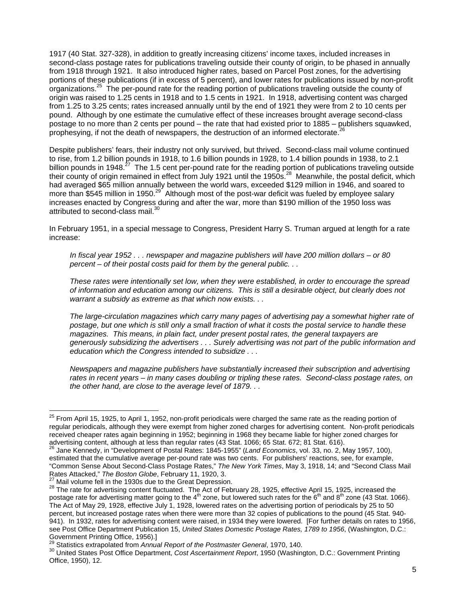1917 (40 Stat. 327-328), in addition to greatly increasing citizens' income taxes, included increases in second-class postage rates for publications traveling outside their county of origin, to be phased in annually from 1918 through 1921. It also introduced higher rates, based on Parcel Post zones, for the advertising portions of these publications (if in excess of 5 percent), and lower rates for publications issued by non-profit organizations.<sup>25</sup> The per-pound rate for the reading portion of publications traveling outside the county of origin was raised to 1.25 cents in 1918 and to 1.5 cents in 1921. In 1918, advertising content was charged from 1.25 to 3.25 cents; rates increased annually until by the end of 1921 they were from 2 to 10 cents per pound. Although by one estimate the cumulative effect of these increases brought average second-class postage to no more than 2 cents per pound – the rate that had existed prior to 1885 – publishers squawked, prophesying, if not the death of newspapers, the destruction of an informed electorate.<sup>26</sup>

Despite publishers' fears, their industry not only survived, but thrived. Second-class mail volume continued to rise, from 1.2 billion pounds in 1918, to 1.6 billion pounds in 1928, to 1.4 billion pounds in 1938, to 2.1 billion pounds in 1948.<sup>27</sup> The 1.5 cent per-pound rate for the reading portion of publications traveling outside their county of origin remained in effect from July 1921 until the 1950s.<sup>28</sup> Meanwhile, the postal deficit, which had averaged \$65 million annually between the world wars, exceeded \$129 million in 1946, and soared to more than \$545 million in 1950.<sup>29</sup> Although most of the post-war deficit was fueled by employee salary increases enacted by Congress during and after the war, more than \$190 million of the 1950 loss was attributed to second-class mail.<sup>30</sup>

In February 1951, in a special message to Congress, President Harry S. Truman argued at length for a rate increase:

*In fiscal year 1952 . . . newspaper and magazine publishers will have 200 million dollars – or 80 percent – of their postal costs paid for them by the general public. . .* 

*These rates were intentionally set low, when they were established, in order to encourage the spread of information and education among our citizens. This is still a desirable object, but clearly does not warrant a subsidy as extreme as that which now exists. . .* 

*The large-circulation magazines which carry many pages of advertising pay a somewhat higher rate of postage, but one which is still only a small fraction of what it costs the postal service to handle these magazines. This means, in plain fact, under present postal rates, the general taxpayers are generously subsidizing the advertisers . . . Surely advertising was not part of the public information and education which the Congress intended to subsidize . . .* 

*Newspapers and magazine publishers have substantially increased their subscription and advertising rates in recent years – in many cases doubling or tripling these rates. Second-class postage rates, on the other hand, are close to the average level of 1879. . .* 

 $\overline{a}$ 

 $^{25}$  From April 15, 1925, to April 1, 1952, non-profit periodicals were charged the same rate as the reading portion of regular periodicals, although they were exempt from higher zoned charges for advertising content. Non-profit periodicals received cheaper rates again beginning in 1952; beginning in 1968 they became liable for higher zoned charges for advertising content, although at less than regular rates (43 Stat. 1066; 65 Stat. 672; 81 Stat. 616).<br><sup>26</sup> Jane Kennedy, in "Development of Postal Rates: 1845-1955" (*Land Economics*, vol. 33, no. 2, May 1957, 100),

estimated that the cumulative average per-pound rate was two cents. For publishers' reactions, see, for example, "Common Sense About Second-Class Postage Rates," *The New York Times*, May 3, 1918, 14; and "Second Class Mail<br>Rates Attacked," *The Boston Globe*, February 11, 1920, 3.<br><sup>27</sup> Mail volume fell in the 1920s due to the Creat

<sup>&</sup>lt;sup>27</sup> Mail volume fell in the 1930s due to the Great Depression.<br><sup>28</sup> The rate for advertising content fluctuated. The Act of February 28, 1925, effective April 15, 1925, increased the postage rate for advertising matter going to the  $4<sup>th</sup>$  zone, but lowered such rates for the  $6<sup>th</sup>$  and  $8<sup>th</sup>$  zone (43 Stat. 1066). The Act of May 29, 1928, effective July 1, 1928, lowered rates on the advertising portion of periodicals by 25 to 50 percent, but increased postage rates when there were more than 32 copies of publications to the pound (45 Stat. 940- 941). In 1932, rates for advertising content were raised, in 1934 they were lowered. [For further details on rates to 1956, see Post Office Department Publication 15, *United States Domestic Postage Rates, 1789 to 1956*, (Washington, D.C.:<br>Government Printing Office, 1956).]

<sup>&</sup>lt;sup>29</sup> Statistics extrapolated from Annual Report of the Postmaster General, 1970, 140.<br><sup>30</sup> United States Post Office Department, Cost Ascertainment Report, 1950 (Washington, D.C.: Government Printing Office, 1950), 12.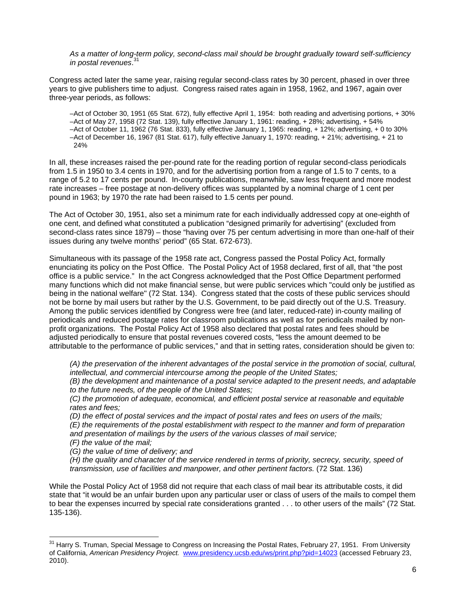*As a matter of long-term policy, second-class mail should be brought gradually toward self-sufficiency in postal revenues*. 31

Congress acted later the same year, raising regular second-class rates by 30 percent, phased in over three years to give publishers time to adjust. Congress raised rates again in 1958, 1962, and 1967, again over three-year periods, as follows:

–Act of October 30, 1951 (65 Stat. 672), fully effective April 1, 1954: both reading and advertising portions, + 30% –Act of May 27, 1958 (72 Stat. 139), fully effective January 1, 1961: reading, + 28%; advertising, + 54% –Act of October 11, 1962 (76 Stat. 833), fully effective January 1, 1965: reading, + 12%; advertising, + 0 to 30% –Act of December 16, 1967 (81 Stat. 617), fully effective January 1, 1970: reading, + 21%; advertising, + 21 to 24%

In all, these increases raised the per-pound rate for the reading portion of regular second-class periodicals from 1.5 in 1950 to 3.4 cents in 1970, and for the advertising portion from a range of 1.5 to 7 cents, to a range of 5.2 to 17 cents per pound. In-county publications, meanwhile, saw less frequent and more modest rate increases – free postage at non-delivery offices was supplanted by a nominal charge of 1 cent per pound in 1963; by 1970 the rate had been raised to 1.5 cents per pound.

The Act of October 30, 1951, also set a minimum rate for each individually addressed copy at one-eighth of one cent, and defined what constituted a publication "designed primarily for advertising" (excluded from second-class rates since 1879) – those "having over 75 per centum advertising in more than one-half of their issues during any twelve months' period" (65 Stat. 672-673).

Simultaneous with its passage of the 1958 rate act, Congress passed the Postal Policy Act, formally enunciating its policy on the Post Office. The Postal Policy Act of 1958 declared, first of all, that "the post office is a public service." In the act Congress acknowledged that the Post Office Department performed many functions which did not make financial sense, but were public services which "could only be justified as being in the national welfare" (72 Stat. 134). Congress stated that the costs of these public services should not be borne by mail users but rather by the U.S. Government, to be paid directly out of the U.S. Treasury. Among the public services identified by Congress were free (and later, reduced-rate) in-county mailing of periodicals and reduced postage rates for classroom publications as well as for periodicals mailed by nonprofit organizations. The Postal Policy Act of 1958 also declared that postal rates and fees should be adjusted periodically to ensure that postal revenues covered costs, "less the amount deemed to be attributable to the performance of public services," and that in setting rates, consideration should be given to:

*(A) the preservation of the inherent advantages of the postal service in the promotion of social, cultural, intellectual, and commercial intercourse among the people of the United States;* 

*(B) the development and maintenance of a postal service adapted to the present needs, and adaptable to the future needs, of the people of the United States;* 

*(C) the promotion of adequate, economical, and efficient postal service at reasonable and equitable rates and fees;* 

*(D) the effect of postal services and the impact of postal rates and fees on users of the mails;* 

*(E) the requirements of the postal establishment with respect to the manner and form of preparation and presentation of mailings by the users of the various classes of mail service;* 

*(F) the value of the mail;* 

 $\overline{a}$ 

*(G) the value of time of delivery; and* 

*(H) the quality and character of the service rendered in terms of priority, secrecy, security, speed of transmission, use of facilities and manpower, and other pertinent factors.* (72 Stat. 136)

While the Postal Policy Act of 1958 did not require that each class of mail bear its attributable costs, it did state that "it would be an unfair burden upon any particular user or class of users of the mails to compel them to bear the expenses incurred by special rate considerations granted . . . to other users of the mails" (72 Stat. 135-136).

<sup>&</sup>lt;sup>31</sup> Harry S. Truman, Special Message to Congress on Increasing the Postal Rates, February 27, 1951. From University of California, *American Presidency Project.* www.presidency.ucsb.edu/ws/print.php?pid=14023 (accessed February 23, 2010).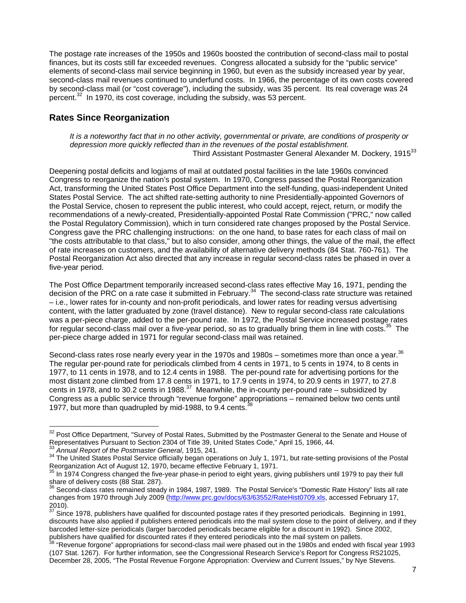The postage rate increases of the 1950s and 1960s boosted the contribution of second-class mail to postal finances, but its costs still far exceeded revenues. Congress allocated a subsidy for the "public service" elements of second-class mail service beginning in 1960, but even as the subsidy increased year by year, second-class mail revenues continued to underfund costs. In 1966, the percentage of its own costs covered by second-class mail (or "cost coverage"), including the subsidy, was 35 percent. Its real coverage was 24 percent.<sup>32</sup> In 1970, its cost coverage, including the subsidy, was 53 percent.

## **Rates Since Reorganization**

*It is a noteworthy fact that in no other activity, governmental or private, are conditions of prosperity or depression more quickly reflected than in the revenues of the postal establishment.*  Third Assistant Postmaster General Alexander M. Dockery, 1915<sup>33</sup>

Deepening postal deficits and logjams of mail at outdated postal facilities in the late 1960s convinced Congress to reorganize the nation's postal system. In 1970, Congress passed the Postal Reorganization Act, transforming the United States Post Office Department into the self-funding, quasi-independent United States Postal Service. The act shifted rate-setting authority to nine Presidentially-appointed Governors of the Postal Service, chosen to represent the public interest, who could accept, reject, return, or modify the recommendations of a newly-created, Presidentially-appointed Postal Rate Commission ("PRC," now called the Postal Regulatory Commission), which in turn considered rate changes proposed by the Postal Service. Congress gave the PRC challenging instructions: on the one hand, to base rates for each class of mail on "the costs attributable to that class," but to also consider, among other things, the value of the mail, the effect of rate increases on customers, and the availability of alternative delivery methods (84 Stat. 760-761). The Postal Reorganization Act also directed that any increase in regular second-class rates be phased in over a five-year period.

The Post Office Department temporarily increased second-class rates effective May 16, 1971, pending the decision of the PRC on a rate case it submitted in February.<sup>34</sup> The second-class rate structure was retained – i.e., lower rates for in-county and non-profit periodicals, and lower rates for reading versus advertising content, with the latter graduated by zone (travel distance). New to regular second-class rate calculations was a per-piece charge, added to the per-pound rate. In 1972, the Postal Service increased postage rates for regular second-class mail over a five-year period, so as to gradually bring them in line with costs.<sup>35</sup> The per-piece charge added in 1971 for regular second-class mail was retained.

Second-class rates rose nearly every year in the 1970s and 1980s – sometimes more than once a year. $36$ The regular per-pound rate for periodicals climbed from 4 cents in 1971, to 5 cents in 1974, to 8 cents in 1977, to 11 cents in 1978, and to 12.4 cents in 1988. The per-pound rate for advertising portions for the most distant zone climbed from 17.8 cents in 1971, to 17.9 cents in 1974, to 20.9 cents in 1977, to 27.8 cents in 1978, and to 30.2 cents in 1988. $^{37}$  Meanwhile, the in-county per-pound rate – subsidized by Congress as a public service through "revenue forgone" appropriations – remained below two cents until 1977, but more than quadrupled by mid-1988, to 9.4 cents.<sup>38</sup>

 $\overline{a}$ 

 $32$  Post Office Department, "Survey of Postal Rates, Submitted by the Postmaster General to the Senate and House of

Representatives Pursuant to Section 2304 of Title 39, United States Code," April 15, 1966, 44.<br><sup>33</sup> Annual Report of the Postmaster General, 1915, 241.<br><sup>34</sup> The United States Postal Service officially began operations on J

In 1974 Congress changed the five-year phase-in period to eight years, giving publishers until 1979 to pay their full share of delivery costs (88 Stat. 287).

<sup>&</sup>lt;sup>36</sup> Second-class rates remained steady in 1984, 1987, 1989. The Postal Service's "Domestic Rate History" lists all rate changes from 1970 through July 2009 (http://www.prc.gov/docs/63/63552/RateHist0709.xls, accessed February 17,  $2010$ ).

Since 1978, publishers have qualified for discounted postage rates if they presorted periodicals. Beginning in 1991, discounts have also applied if publishers entered periodicals into the mail system close to the point of delivery, and if they barcoded letter-size periodicals (larger barcoded periodicals became eligible for a discount in 1992). Since 2002, publishers have qualified for discounted rates if they entered periodicals into the mail system on pallets.

<sup>&</sup>quot;Revenue forgone" appropriations for second-class mail were phased out in the 1980s and ended with fiscal year 1993 (107 Stat. 1267). For further information, see the Congressional Research Service's Report for Congress RS21025, December 28, 2005, "The Postal Revenue Forgone Appropriation: Overview and Current Issues," by Nye Stevens.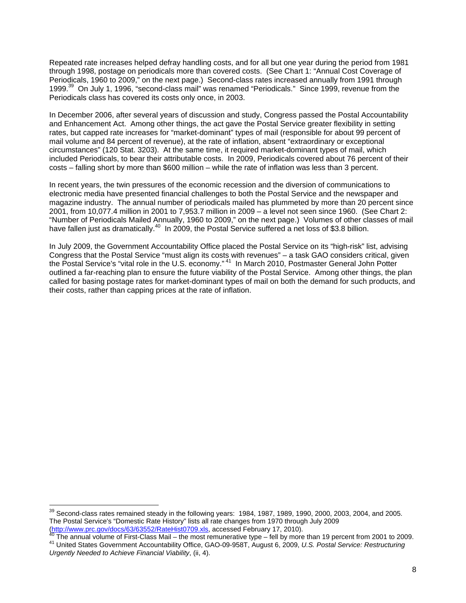Repeated rate increases helped defray handling costs, and for all but one year during the period from 1981 through 1998, postage on periodicals more than covered costs. (See Chart 1: "Annual Cost Coverage of Periodicals, 1960 to 2009," on the next page.) Second-class rates increased annually from 1991 through 1999.<sup>39</sup> On July 1, 1996, "second-class mail" was renamed "Periodicals." Since 1999, revenue from the Periodicals class has covered its costs only once, in 2003.

In December 2006, after several years of discussion and study, Congress passed the Postal Accountability and Enhancement Act. Among other things, the act gave the Postal Service greater flexibility in setting rates, but capped rate increases for "market-dominant" types of mail (responsible for about 99 percent of mail volume and 84 percent of revenue), at the rate of inflation, absent "extraordinary or exceptional circumstances" (120 Stat. 3203). At the same time, it required market-dominant types of mail, which included Periodicals, to bear their attributable costs. In 2009, Periodicals covered about 76 percent of their costs – falling short by more than \$600 million – while the rate of inflation was less than 3 percent.

In recent years, the twin pressures of the economic recession and the diversion of communications to electronic media have presented financial challenges to both the Postal Service and the newspaper and magazine industry. The annual number of periodicals mailed has plummeted by more than 20 percent since 2001, from 10,077.4 million in 2001 to 7,953.7 million in 2009 – a level not seen since 1960. (See Chart 2: "Number of Periodicals Mailed Annually, 1960 to 2009," on the next page.) Volumes of other classes of mail have fallen just as dramatically.<sup>40</sup> In 2009, the Postal Service suffered a net loss of \$3.8 billion.

In July 2009, the Government Accountability Office placed the Postal Service on its "high-risk" list, advising Congress that the Postal Service "must align its costs with revenues" – a task GAO considers critical, given the Postal Service's "vital role in the U.S. economy."<sup>41</sup> In March 2010, Postmaster General John Potter outlined a far-reaching plan to ensure the future viability of the Postal Service. Among other things, the plan called for basing postage rates for market-dominant types of mail on both the demand for such products, and their costs, rather than capping prices at the rate of inflation.

 $\overline{a}$ 

 $39$  Second-class rates remained steady in the following years: 1984, 1987, 1989, 1990, 2000, 2003, 2004, and 2005. The Postal Service's "Domestic Rate History" lists all rate changes from 1970 through July 2009<br>(http://www.prc.gov/docs/63/63552/RateHist0709.xls, accessed February 17, 2010).

<sup>&</sup>lt;sup>40</sup>The annual volume of First-Class Mail – the most remunerative type – fell by more than 19 percent from 2001 to 2009.<br><sup>41</sup> United States Government Accountability Office, GAO-09-958T, August 6, 2009, U.S. Postal Service *Urgently Needed to Achieve Financial Viability*, (ii, 4).